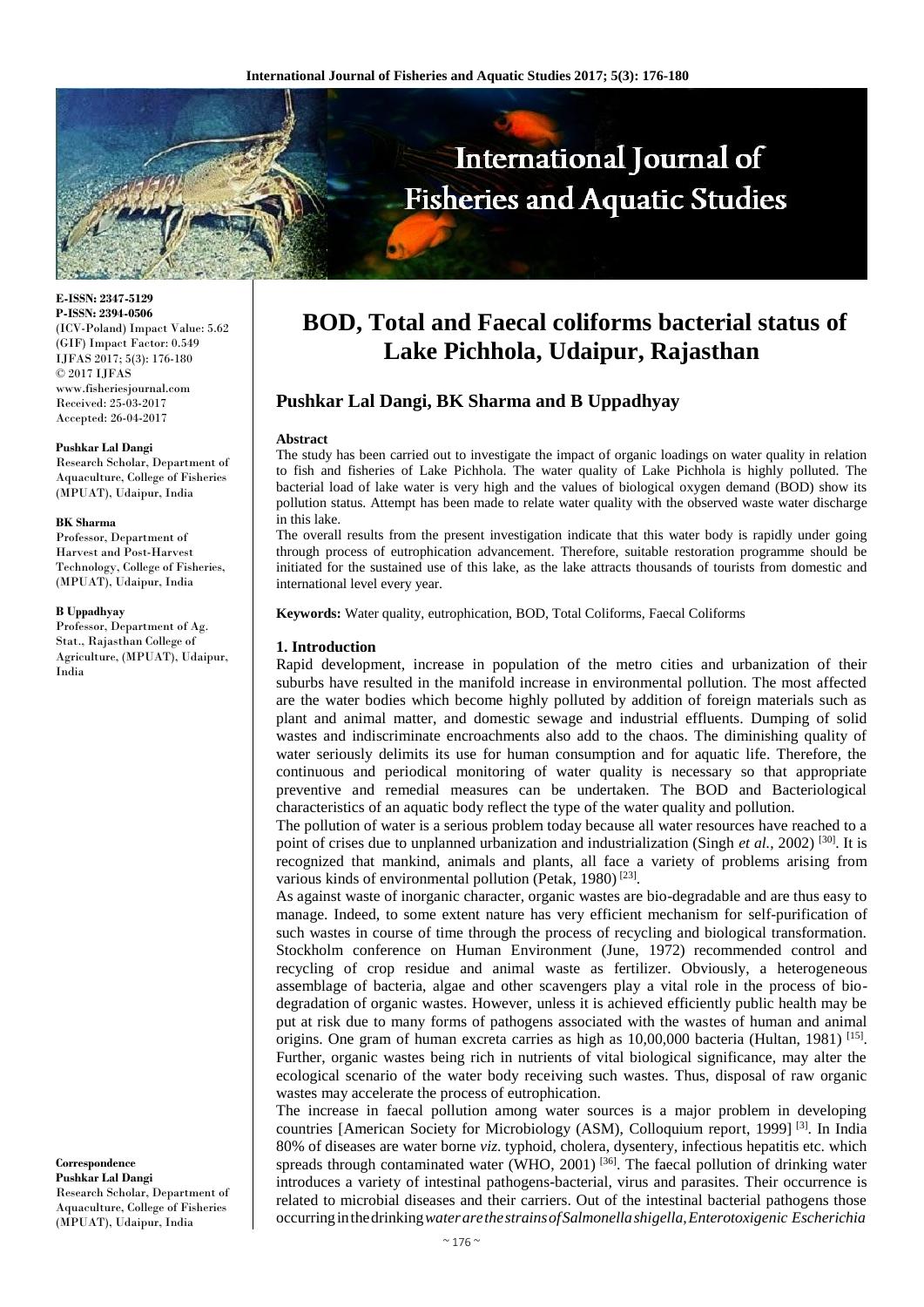

**E-ISSN: 2347-5129 P-ISSN: 2394-0506** (ICV-Poland) Impact Value: 5.62 (GIF) Impact Factor: 0.549 IJFAS 2017; 5(3): 176-180 © 2017 IJFAS www.fisheriesjournal.com Received: 25-03-2017 Accepted: 26-04-2017

#### **Pushkar Lal Dangi**

Research Scholar, Department of Aquaculture, College of Fisheries (MPUAT), Udaipur, India

#### **BK Sharma**

Professor, Department of Harvest and Post-Harvest Technology, College of Fisheries, (MPUAT), Udaipur, India

#### **B Uppadhyay**

Professor, Department of Ag. Stat., Rajasthan College of Agriculture, (MPUAT), Udaipur, India

**Correspondence Pushkar Lal Dangi** Research Scholar, Department of Aquaculture, College of Fisheries (MPUAT), Udaipur, India

# **BOD, Total and Faecal coliforms bacterial status of Lake Pichhola, Udaipur, Rajasthan**

# **Pushkar Lal Dangi, BK Sharma and B Uppadhyay**

#### **Abstract**

The study has been carried out to investigate the impact of organic loadings on water quality in relation to fish and fisheries of Lake Pichhola. The water quality of Lake Pichhola is highly polluted. The bacterial load of lake water is very high and the values of biological oxygen demand (BOD) show its pollution status. Attempt has been made to relate water quality with the observed waste water discharge in this lake.

The overall results from the present investigation indicate that this water body is rapidly under going through process of eutrophication advancement. Therefore, suitable restoration programme should be initiated for the sustained use of this lake, as the lake attracts thousands of tourists from domestic and international level every year.

**Keywords:** Water quality, eutrophication, BOD, Total Coliforms, Faecal Coliforms

#### **1. Introduction**

Rapid development, increase in population of the metro cities and urbanization of their suburbs have resulted in the manifold increase in environmental pollution. The most affected are the water bodies which become highly polluted by addition of foreign materials such as plant and animal matter, and domestic sewage and industrial effluents. Dumping of solid wastes and indiscriminate encroachments also add to the chaos. The diminishing quality of water seriously delimits its use for human consumption and for aquatic life. Therefore, the continuous and periodical monitoring of water quality is necessary so that appropriate preventive and remedial measures can be undertaken. The BOD and Bacteriological characteristics of an aquatic body reflect the type of the water quality and pollution.

The pollution of water is a serious problem today because all water resources have reached to a point of crises due to unplanned urbanization and industrialization (Singh *et al.*, 2002)<sup>[30]</sup>. It is recognized that mankind, animals and plants, all face a variety of problems arising from various kinds of environmental pollution (Petak, 1980)<sup>[23]</sup>.

As against waste of inorganic character, organic wastes are bio-degradable and are thus easy to manage. Indeed, to some extent nature has very efficient mechanism for self-purification of such wastes in course of time through the process of recycling and biological transformation. Stockholm conference on Human Environment (June, 1972) recommended control and recycling of crop residue and animal waste as fertilizer. Obviously, a heterogeneous assemblage of bacteria, algae and other scavengers play a vital role in the process of biodegradation of organic wastes. However, unless it is achieved efficiently public health may be put at risk due to many forms of pathogens associated with the wastes of human and animal origins. One gram of human excreta carries as high as  $10,00,000$  bacteria (Hultan, 1981) [15]. Further, organic wastes being rich in nutrients of vital biological significance, may alter the ecological scenario of the water body receiving such wastes. Thus, disposal of raw organic wastes may accelerate the process of eutrophication.

The increase in faecal pollution among water sources is a major problem in developing countries [American Society for Microbiology (ASM), Colloquium report, 1999] [3]. In India 80% of diseases are water borne *viz*. typhoid, cholera, dysentery, infectious hepatitis etc. which spreads through contaminated water (WHO, 2001)<sup>[36]</sup>. The faecal pollution of drinking water introduces a variety of intestinal pathogens-bacterial, virus and parasites. Their occurrence is related to microbial diseases and their carriers. Out of the intestinal bacterial pathogens those occurringinthedrinking*waterarethestrainsofSalmonellashigella,Enterotoxigenic Escherichia*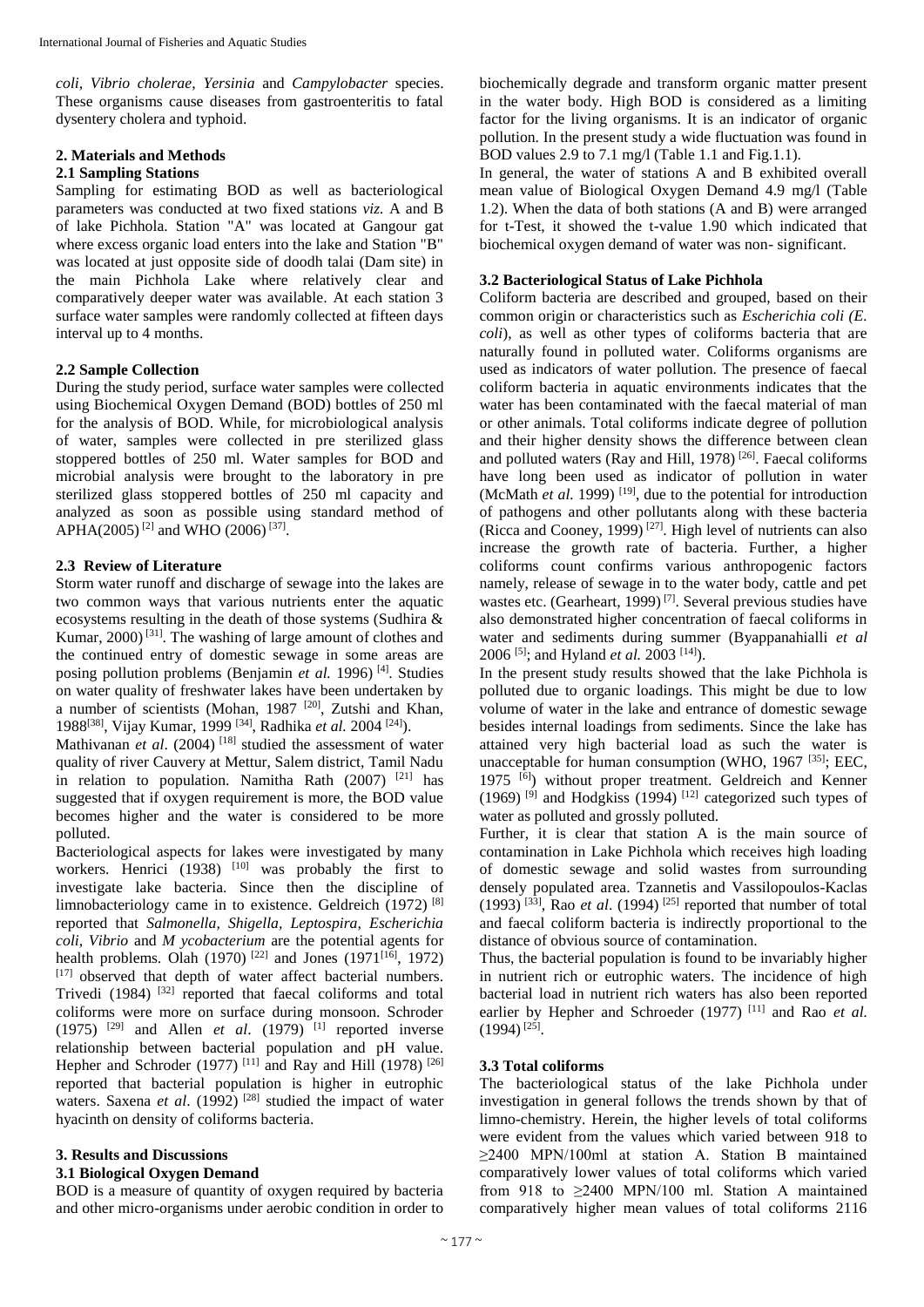*coli, Vibrio cholerae*, *Yersinia* and *Campylobacter* species. These organisms cause diseases from gastroenteritis to fatal dysentery cholera and typhoid.

## **2. Materials and Methods**

## **2.1 Sampling Stations**

Sampling for estimating BOD as well as bacteriological parameters was conducted at two fixed stations *viz.* A and B of lake Pichhola. Station "A" was located at Gangour gat where excess organic load enters into the lake and Station "B" was located at just opposite side of doodh talai (Dam site) in the main Pichhola Lake where relatively clear and comparatively deeper water was available. At each station 3 surface water samples were randomly collected at fifteen days interval up to 4 months.

# **2.2 Sample Collection**

During the study period, surface water samples were collected using Biochemical Oxygen Demand (BOD) bottles of 250 ml for the analysis of BOD. While, for microbiological analysis of water, samples were collected in pre sterilized glass stoppered bottles of 250 ml. Water samples for BOD and microbial analysis were brought to the laboratory in pre sterilized glass stoppered bottles of 250 ml capacity and analyzed as soon as possible using standard method of APHA(2005)<sup>[2]</sup> and WHO (2006)<sup>[37]</sup>.

# **2.3 Review of Literature**

Storm water runoff and discharge of sewage into the lakes are two common ways that various nutrients enter the aquatic ecosystems resulting in the death of those systems (Sudhira & Kumar, 2000) [31]. The washing of large amount of clothes and the continued entry of domestic sewage in some areas are posing pollution problems (Benjamin *et al.* 1996) [4]. Studies on water quality of freshwater lakes have been undertaken by a number of scientists (Mohan, 1987 [20], Zutshi and Khan, 1988[38], Vijay Kumar, 1999 [34], Radhika *et al.* 2004 [24]).

Mathivanan *et al.* (2004)<sup>[18]</sup> studied the assessment of water quality of river Cauvery at Mettur, Salem district, Tamil Nadu in relation to population. Namitha Rath  $(2007)$ <sup>[21]</sup> has suggested that if oxygen requirement is more, the BOD value becomes higher and the water is considered to be more polluted.

Bacteriological aspects for lakes were investigated by many workers. Henrici  $(1938)$ <sup>[10]</sup> was probably the first to investigate lake bacteria. Since then the discipline of limnobacteriology came in to existence. Geldreich (1972) [8] reported that *Salmonella, Shigella, Leptospira, Escherichia coli, Vibrio* and *M ycobacterium* are the potential agents for health problems. Olah (1970)<sup>[22]</sup> and Jones (1971<sup>[16]</sup>, 1972) [17] observed that depth of water affect bacterial numbers. Trivedi  $(1984)$ <sup>[32]</sup> reported that faecal coliforms and total coliforms were more on surface during monsoon. Schroder  $(1975)$  <sup>[29]</sup> and Allen *et al.*  $(1979)$ <sup>[1]</sup> reported inverse relationship between bacterial population and pH value. Hepher and Schroder (1977)<sup>[11]</sup> and Ray and Hill (1978)<sup>[26]</sup> reported that bacterial population is higher in eutrophic waters. Saxena *et al.* (1992)<sup>[28]</sup> studied the impact of water hyacinth on density of coliforms bacteria.

# **3. Results and Discussions**

#### **3.1 Biological Oxygen Demand**

BOD is a measure of quantity of oxygen required by bacteria and other micro-organisms under aerobic condition in order to biochemically degrade and transform organic matter present in the water body. High BOD is considered as a limiting factor for the living organisms. It is an indicator of organic pollution. In the present study a wide fluctuation was found in BOD values 2.9 to 7.1 mg/l (Table 1.1 and Fig.1.1).

In general, the water of stations A and B exhibited overall mean value of Biological Oxygen Demand 4.9 mg/l (Table 1.2). When the data of both stations (A and B) were arranged for t-Test, it showed the t-value 1.90 which indicated that biochemical oxygen demand of water was non- significant.

# **3.2 Bacteriological Status of Lake Pichhola**

Coliform bacteria are described and grouped, based on their common origin or characteristics such as *Escherichia coli (E. coli*), as well as other types of coliforms bacteria that are naturally found in polluted water. Coliforms organisms are used as indicators of water pollution. The presence of faecal coliform bacteria in aquatic environments indicates that the water has been contaminated with the faecal material of man or other animals. Total coliforms indicate degree of pollution and their higher density shows the difference between clean and polluted waters (Ray and Hill, 1978)  $[26]$ . Faecal coliforms have long been used as indicator of pollution in water (McMath *et al.* 1999)<sup>[19]</sup>, due to the potential for introduction of pathogens and other pollutants along with these bacteria (Ricca and Cooney, 1999)<sup>[27]</sup>. High level of nutrients can also increase the growth rate of bacteria. Further, a higher coliforms count confirms various anthropogenic factors namely, release of sewage in to the water body, cattle and pet wastes etc. (Gearheart, 1999)<sup>[7]</sup>. Several previous studies have also demonstrated higher concentration of faecal coliforms in water and sediments during summer (Byappanahialli *et al*  2006 [5]; and Hyland *et al.* 2003 [14]).

In the present study results showed that the lake Pichhola is polluted due to organic loadings. This might be due to low volume of water in the lake and entrance of domestic sewage besides internal loadings from sediments. Since the lake has attained very high bacterial load as such the water is unacceptable for human consumption (WHO,  $1967$  [35]; EEC, 1975  $\overline{[6]}$ ) without proper treatment. Geldreich and Kenner (1969)  $^{[9]}$  and Hodgkiss (1994)  $^{[12]}$  categorized such types of water as polluted and grossly polluted.

Further, it is clear that station A is the main source of contamination in Lake Pichhola which receives high loading of domestic sewage and solid wastes from surrounding densely populated area. Tzannetis and Vassilopoulos-Kaclas  $(1993)$ <sup>[33]</sup>, Rao *et al.* (1994)<sup>[25]</sup> reported that number of total and faecal coliform bacteria is indirectly proportional to the distance of obvious source of contamination.

Thus, the bacterial population is found to be invariably higher in nutrient rich or eutrophic waters. The incidence of high bacterial load in nutrient rich waters has also been reported earlier by Hepher and Schroeder (1977)<sup>[11]</sup> and Rao *et al.*  $(1994)^{[25]}$ .

# **3.3 Total coliforms**

The bacteriological status of the lake Pichhola under investigation in general follows the trends shown by that of limno-chemistry. Herein, the higher levels of total coliforms were evident from the values which varied between 918 to ≥2400 MPN/100ml at station A. Station B maintained comparatively lower values of total coliforms which varied from 918 to  $\geq$ 2400 MPN/100 ml. Station A maintained comparatively higher mean values of total coliforms 2116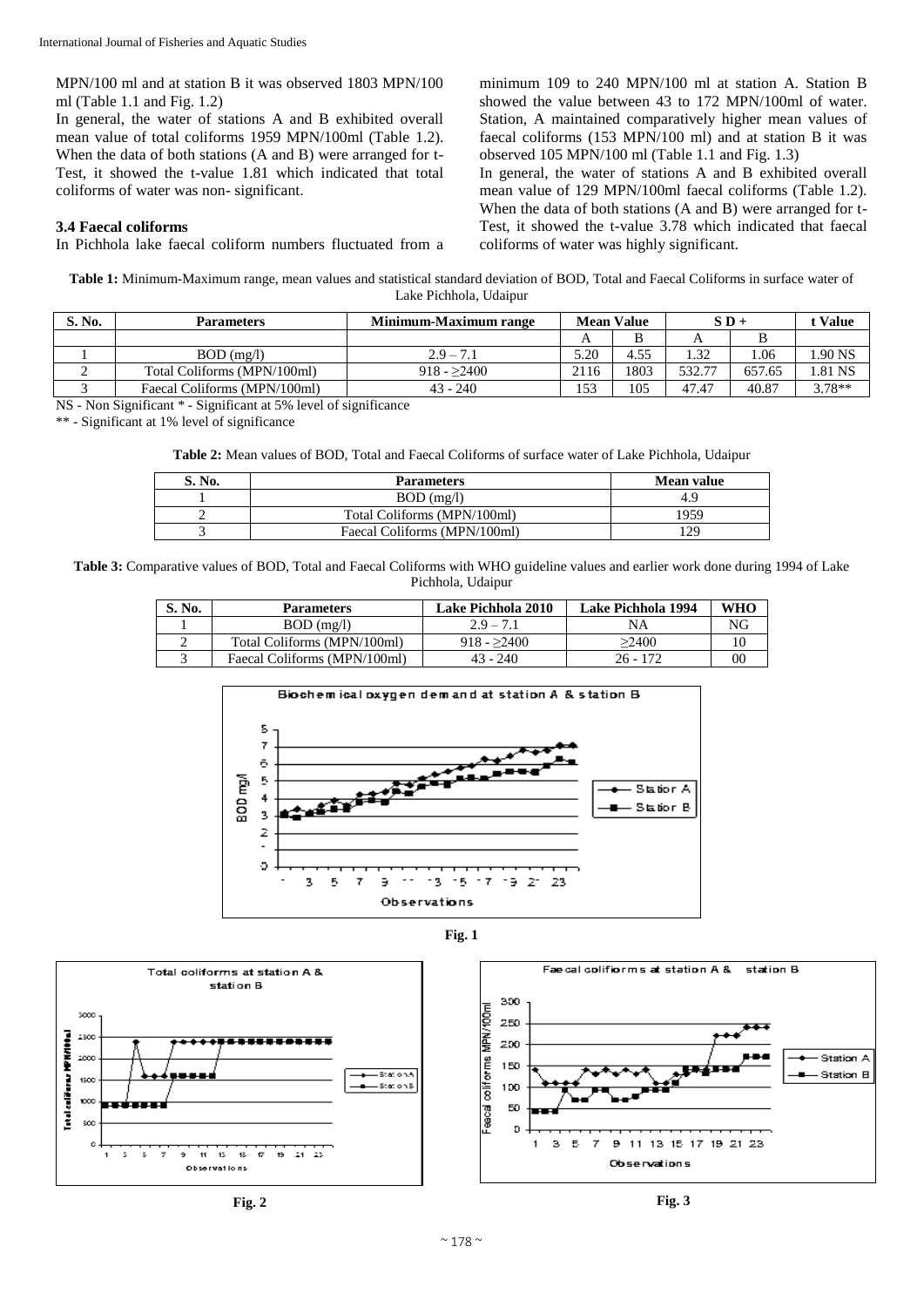MPN/100 ml and at station B it was observed 1803 MPN/100 ml (Table 1.1 and Fig. 1.2)

In general, the water of stations A and B exhibited overall mean value of total coliforms 1959 MPN/100ml (Table 1.2). When the data of both stations (A and B) were arranged for t-Test, it showed the t-value 1.81 which indicated that total coliforms of water was non- significant.

#### **3.4 Faecal coliforms**

In Pichhola lake faecal coliform numbers fluctuated from a

minimum 109 to 240 MPN/100 ml at station A. Station B showed the value between 43 to 172 MPN/100ml of water. Station, A maintained comparatively higher mean values of faecal coliforms (153 MPN/100 ml) and at station B it was observed 105 MPN/100 ml (Table 1.1 and Fig. 1.3)

In general, the water of stations A and B exhibited overall mean value of 129 MPN/100ml faecal coliforms (Table 1.2). When the data of both stations (A and B) were arranged for t-Test, it showed the t-value 3.78 which indicated that faecal coliforms of water was highly significant.

**Table 1:** Minimum-Maximum range, mean values and statistical standard deviation of BOD, Total and Faecal Coliforms in surface water of Lake Pichhola, Udaipur

| S. No. | <b>Parameters</b>            | Minimum-Maximum range | <b>Mean Value</b> |      | $S\,D +$ |        | Value    |
|--------|------------------------------|-----------------------|-------------------|------|----------|--------|----------|
|        |                              |                       |                   |      |          |        |          |
|        | $BOD$ (mg/l)                 | $2.9 - 7.1$           | 5.20              | 4.55 | 32       | .06    | .90 NS   |
|        | Total Coliforms (MPN/100ml)  | $918 - 2400$          | 2116              | 803  | 532.77   | 657.65 | .81 NS   |
|        | Faecal Coliforms (MPN/100ml) | $43 - 240$            | 153               | 105  | 47.47    | 40.87  | $3.78**$ |

NS - Non Significant \* - Significant at 5% level of significance

\*\* - Significant at 1% level of significance

**Table 2:** Mean values of BOD, Total and Faecal Coliforms of surface water of Lake Pichhola, Udaipur

| $\mathbf{v}$ . No. | <b>Parameters</b>            | <b>Mean value</b> |
|--------------------|------------------------------|-------------------|
|                    | $BOD$ (mg/l)                 | 4.9               |
|                    | Total Coliforms (MPN/100ml)  | 1959              |
|                    | Faecal Coliforms (MPN/100ml) | 129               |

**Table 3:** Comparative values of BOD, Total and Faecal Coliforms with WHO guideline values and earlier work done during 1994 of Lake Pichhola, Udaipur

| S. No. | <b>Parameters</b>            | <b>Lake Pichhola 2010</b> | Lake Pichhola 1994 | WHO |
|--------|------------------------------|---------------------------|--------------------|-----|
|        | $BOD$ (mg/l)                 | $2.9 - 7.1$               | NΑ                 | NG  |
| -      | Total Coliforms (MPN/100ml)  | $918 - 2400$              | >2400              |     |
|        | Faecal Coliforms (MPN/100ml) | $43 - 240$                | $26 - 172$         | 00  |







Station A

Station B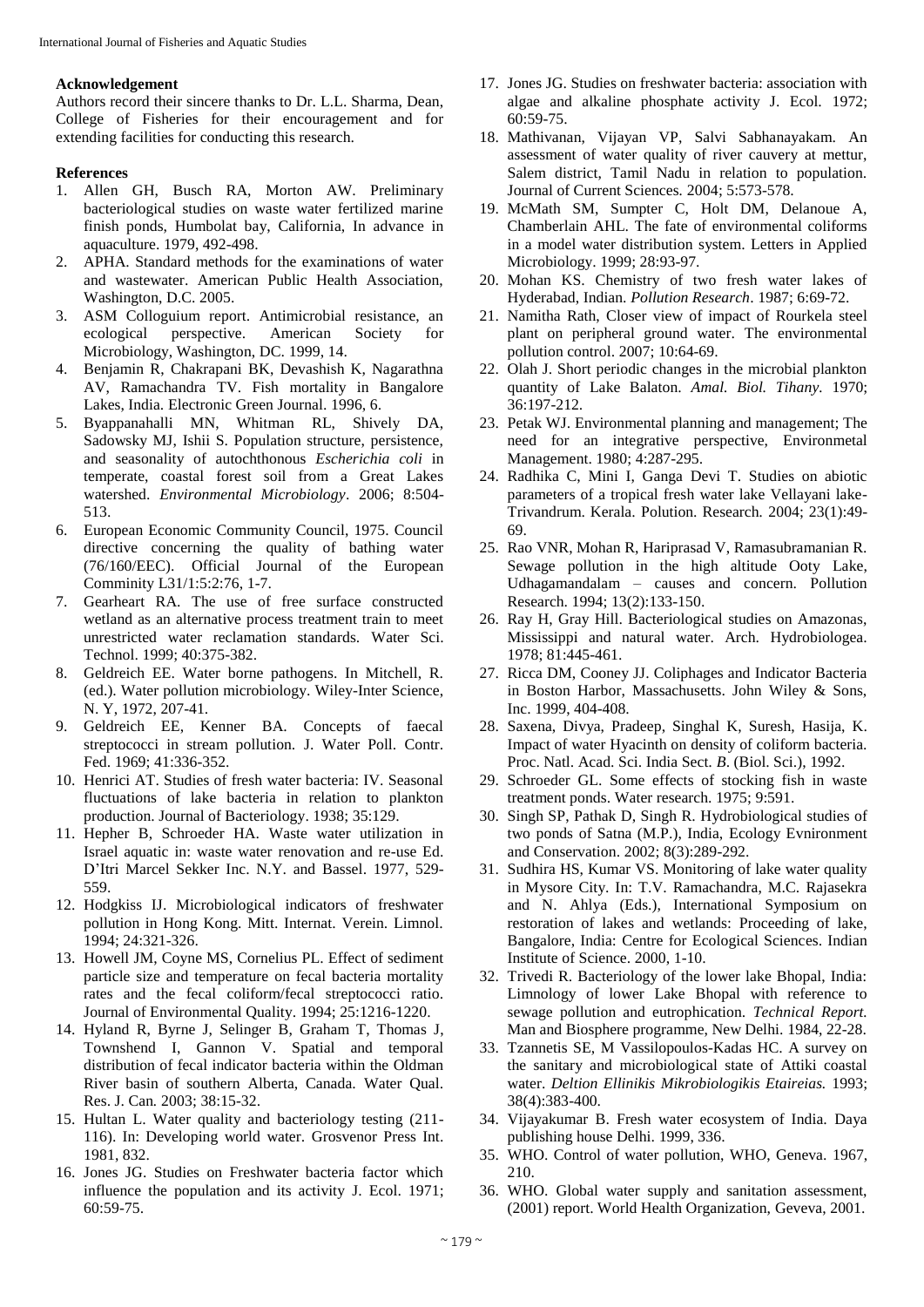## **Acknowledgement**

Authors record their sincere thanks to Dr. L.L. Sharma, Dean, College of Fisheries for their encouragement and for extending facilities for conducting this research.

# **References**

- 1. Allen GH, Busch RA, Morton AW. Preliminary bacteriological studies on waste water fertilized marine finish ponds, Humbolat bay, California, In advance in aquaculture. 1979, 492-498.
- 2. APHA. Standard methods for the examinations of water and wastewater. American Public Health Association, Washington, D.C. 2005.
- 3. ASM Colloguium report. Antimicrobial resistance, an ecological perspective. American Society for Microbiology, Washington, DC. 1999, 14.
- 4. Benjamin R, Chakrapani BK, Devashish K, Nagarathna AV, Ramachandra TV. Fish mortality in Bangalore Lakes, India. Electronic Green Journal. 1996, 6.
- 5. Byappanahalli MN, Whitman RL, Shively DA, Sadowsky MJ, Ishii S. Population structure, persistence, and seasonality of autochthonous *Escherichia coli* in temperate, coastal forest soil from a Great Lakes watershed. *Environmental Microbiology*. 2006; 8:504- 513.
- 6. European Economic Community Council, 1975. Council directive concerning the quality of bathing water (76/160/EEC). Official Journal of the European Comminity L31/1:5:2:76, 1-7.
- 7. Gearheart RA. The use of free surface constructed wetland as an alternative process treatment train to meet unrestricted water reclamation standards. Water Sci. Technol. 1999; 40:375-382.
- 8. Geldreich EE. Water borne pathogens. In Mitchell, R. (ed.). Water pollution microbiology. Wiley-Inter Science, N. Y, 1972, 207-41.
- 9. Geldreich EE, Kenner BA. Concepts of faecal streptococci in stream pollution. J. Water Poll. Contr. Fed. 1969; 41:336-352.
- 10. Henrici AT. Studies of fresh water bacteria: IV. Seasonal fluctuations of lake bacteria in relation to plankton production. Journal of Bacteriology. 1938; 35:129.
- 11. Hepher B, Schroeder HA. Waste water utilization in Israel aquatic in: waste water renovation and re-use Ed. D'Itri Marcel Sekker Inc. N.Y. and Bassel. 1977, 529- 559.
- 12. Hodgkiss IJ. Microbiological indicators of freshwater pollution in Hong Kong. Mitt. Internat. Verein. Limnol. 1994; 24:321-326.
- 13. Howell JM, Coyne MS, Cornelius PL. Effect of sediment particle size and temperature on fecal bacteria mortality rates and the fecal coliform/fecal streptococci ratio. Journal of Environmental Quality. 1994; 25:1216-1220.
- 14. Hyland R, Byrne J, Selinger B, Graham T, Thomas J, Townshend I, Gannon V. Spatial and temporal distribution of fecal indicator bacteria within the Oldman River basin of southern Alberta, Canada. Water Qual. Res. J. Can*.* 2003; 38:15-32.
- 15. Hultan L. Water quality and bacteriology testing (211- 116). In: Developing world water. Grosvenor Press Int. 1981, 832.
- 16. Jones JG. Studies on Freshwater bacteria factor which influence the population and its activity J. Ecol. 1971; 60:59-75.
- 17. Jones JG. Studies on freshwater bacteria: association with algae and alkaline phosphate activity J. Ecol. 1972; 60:59-75.
- 18. Mathivanan, Vijayan VP, Salvi Sabhanayakam. An assessment of water quality of river cauvery at mettur, Salem district, Tamil Nadu in relation to population. Journal of Current Sciences*.* 2004; 5:573-578.
- 19. McMath SM, Sumpter C, Holt DM, Delanoue A, Chamberlain AHL. The fate of environmental coliforms in a model water distribution system. Letters in Applied Microbiology. 1999; 28:93-97.
- 20. Mohan KS. Chemistry of two fresh water lakes of Hyderabad, Indian. *Pollution Research*. 1987; 6:69-72.
- 21. Namitha Rath, Closer view of impact of Rourkela steel plant on peripheral ground water. The environmental pollution control. 2007; 10:64-69.
- 22. Olah J. Short periodic changes in the microbial plankton quantity of Lake Balaton. *Amal. Biol. Tihany.* 1970; 36:197-212.
- 23. Petak WJ. Environmental planning and management; The need for an integrative perspective, Environmetal Management. 1980; 4:287-295.
- 24. Radhika C, Mini I, Ganga Devi T. Studies on abiotic parameters of a tropical fresh water lake Vellayani lake-Trivandrum. Kerala. Polution. Research*.* 2004; 23(1):49- 69.
- 25. Rao VNR, Mohan R, Hariprasad V, Ramasubramanian R. Sewage pollution in the high altitude Ooty Lake, Udhagamandalam – causes and concern. Pollution Research. 1994; 13(2):133-150.
- 26. Ray H, Gray Hill. Bacteriological studies on Amazonas, Mississippi and natural water. Arch. Hydrobiologea. 1978; 81:445-461.
- 27. Ricca DM, Cooney JJ. Coliphages and Indicator Bacteria in Boston Harbor, Massachusetts. John Wiley & Sons, Inc. 1999, 404-408.
- 28. Saxena, Divya, Pradeep, Singhal K, Suresh, Hasija, K. Impact of water Hyacinth on density of coliform bacteria. Proc. Natl. Acad. Sci. India Sect*. B*. (Biol. Sci.), 1992.
- 29. Schroeder GL. Some effects of stocking fish in waste treatment ponds. Water research. 1975; 9:591.
- 30. Singh SP, Pathak D, Singh R. Hydrobiological studies of two ponds of Satna (M.P.), India, Ecology Evnironment and Conservation. 2002; 8(3):289-292.
- 31. Sudhira HS, Kumar VS. Monitoring of lake water quality in Mysore City. In: T.V. Ramachandra, M.C. Rajasekra and N. Ahlya (Eds.), International Symposium on restoration of lakes and wetlands: Proceeding of lake, Bangalore, India: Centre for Ecological Sciences. Indian Institute of Science. 2000, 1-10.
- 32. Trivedi R. Bacteriology of the lower lake Bhopal, India: Limnology of lower Lake Bhopal with reference to sewage pollution and eutrophication. *Technical Report.* Man and Biosphere programme, New Delhi. 1984, 22-28.
- 33. Tzannetis SE, M Vassilopoulos-Kadas HC. A survey on the sanitary and microbiological state of Attiki coastal water. *Deltion Ellinikis Mikrobiologikis Etaireias.* 1993; 38(4):383-400.
- 34. Vijayakumar B. Fresh water ecosystem of India. Daya publishing house Delhi. 1999, 336.
- 35. WHO. Control of water pollution, WHO, Geneva. 1967, 210.
- 36. WHO. Global water supply and sanitation assessment, (2001) report. World Health Organization, Geveva, 2001.